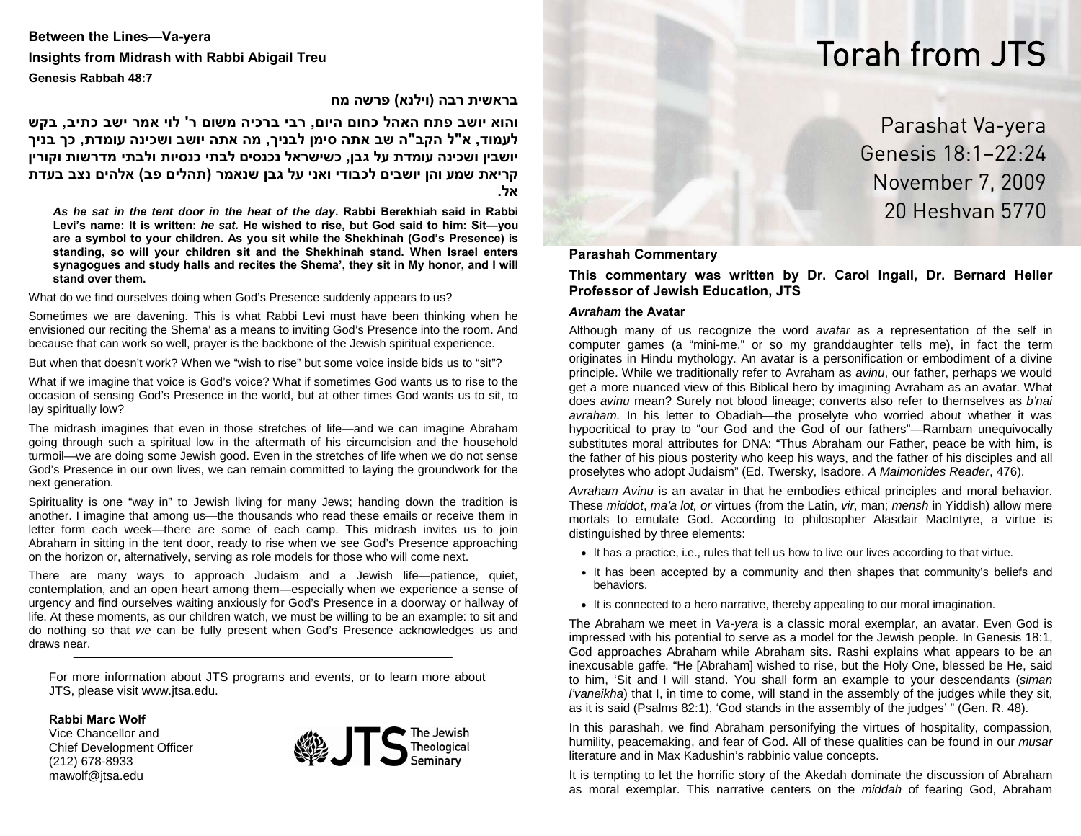# Torah from JTS

**Between the Lines—Va-yera Insights from Midrash with Rabbi Abigail Treu Genesis Rabbah 48:7** 

## **בראשית רבה (וילנא) פרשה מח**

והוא יושב פתח האהל כחום היום, רבי ברכיה משום ר' לוי אמר ישב כתיב, בקש לעמוד, א"ל הקב"ה שב אתה סימן לבניך, מה אתה יושב ושכינה עומדת, כך בניך **שות וקורין ר ד תי מ ב יושבין ושכינה עומדת על גבן, כשישראל נכנסים לבתי כנסיות ול** קריאת שמע והן יושבים לכבודי ואני על גבן שנאמר (תהלים פב) אלהים נצב בעדת **אל.** 

*As he sat in the tent door in the heat of the day***. Rabbi Berekhiah said in Rabbi Levi's name: It is written:** *he sat.* **He wished to rise, but God said to him: Sit—you are a symbol to your children. As you sit while the Shekhinah (God's Presence) is standing, so will your children sit and the Shekhinah stand. When Israel enters synagogues and study halls and recites the Shema', they sit in My honor, and I will stand over them.**

What do we find ourselves doing when God's Presence suddenly appears to us?

Sometimes we are davening. This is what Rabbi Levi must have been thinking when he envisioned our reciting the Shema' as a means to inviting God's Presence into the room. And because that can work so well, prayer is the backbone of the Jewish spiritual experience.

But when that doesn't work? When we "wish to rise" but some voice inside bids us to "sit"?

What if we imagine that voice is God's voice? What if sometimes God wants us to rise to the occasion of sensing God's Presence in the world, but at other times God wants us to sit, to lay spiritually low?

The midrash imagines that even in those stretches of life—and we can imagine Abraham going through such a spiritual low in the aftermath of his circumcision and the household turmoil—we are doing some Jewish good. Even in the stretches of life when we do not sense God's Presence in our own lives, we can remain committed to laying the groundwork for the next generation.

Spirituality is one "way in" to Jewish living for many Jews; handing down the tradition is another. I imagine that among us—the thousands who read these emails or receive them in letter form each week—there are some of each camp. This midrash invites us to join Abraham in sitting in the tent door, ready to rise when we see God's Presence approaching on the horizon or, alternatively, serving as role models for those who will come next.

There are many ways to approach Judaism and a Jewish life—patience, quiet, contemplation, and an open heart among them—especially when we experience a sense of urgency and find ourselves waiting anxiously for God's Presence in a doorway or hallway of life. At these moments, as our children watch, we must be willing to be an example: to sit and do nothing so that *we* can be fully present when God's Presence acknowledges us and draws near.

For more information about JTS programs and events, or to learn more about JTS, please visit www.jtsa.edu.

**Rabbi Marc Wolf**

Vice Chancellor and Chief Development Officer (212) 678-8933 mawolf@jtsa.edu



# Parashat Va-yera Genesis 18:1–22:24 November 7, 2009 20 Heshvan 5770

#### **Parashah Commentary**

#### **This commentary was written by Dr. Carol Ingall, Dr. Bernard Heller Professor of Jewish Education, JTS**

#### *Avraham* **the Avatar**

Although many of us recognize the word *avatar* as a representation of the self in computer games (a "mini-me," or so my granddaughter tells me), in fact the term originates in Hindu mythology. An avatar is a personification or embodiment of a divine principle. While we traditionally refer to Avraham as *avinu*, our father, perhaps we would get a more nuanced view of this Biblical hero by imagining Avraham as an avatar. What does *avinu* mean? Surely not blood lineage; converts also refer to themselves as *b'nai avraham.* In his letter to Obadiah—the proselyte who worried about whether it was hypocritical to pray to "our God and the God of our fathers"—Rambam unequivocally substitutes moral attributes for DNA: "Thus Abraham our Father, peace be with him, is the father of his pious posterity who keep his ways, and the father of his disciples and all proselytes who adopt Judaism" (Ed. Twersky, Isadore. *A Maimonides Reader*, 476).

*Avraham Avinu* is an avatar in that he embodies ethical principles and moral behavior. These *middot*, *ma'a lot, or* virtues (from the Latin, *vir*, man; *mensh* in Yiddish) allow mere mortals to emulate God. According to philosopher Alasdair MacIntyre, a virtue is distinguished by three elements:

- It has a practice, i.e., rules that tell us how to live our lives according to that virtue.
- It has been accepted by a community and then shapes that community's beliefs and behaviors.
- It is connected to a hero narrative, thereby appealing to our moral imagination.

The Abraham we meet in *Va-yera* is a classic moral exemplar, an avatar. Even God is impressed with his potential to serve as a model for the Jewish people. In Genesis 18:1, God approaches Abraham while Abraham sits. Rashi explains what appears to be an inexcusable gaffe. "He [Abraham] wished to rise, but the Holy One, blessed be He, said to him, 'Sit and I will stand. You shall form an example to your descendants (*siman l'vaneikha*) that I, in time to come, will stand in the assembly of the judges while they sit, as it is said (Psalms 82:1), 'God stands in the assembly of the judges' " (Gen. R. 48).

In this parashah, we find Abraham personifying the virtues of hospitality, compassion, humility, peacemaking, and fear of God. All of these qualities can be found in our *musar* literature and in Max Kadushin's rabbinic value concepts.

It is tempting to let the horrific story of the Akedah dominate the discussion of Abraham as moral exemplar. This narrative centers on the *middah* of fearing God, Abraham